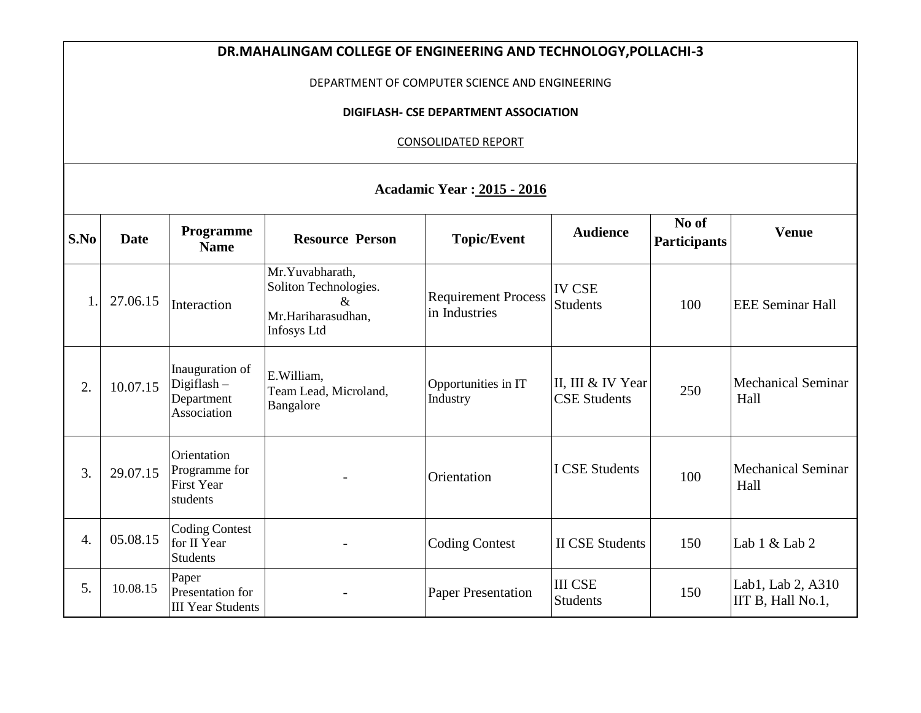| DR.MAHALINGAM COLLEGE OF ENGINEERING AND TECHNOLOGY, POLLACHI-3 |             |                                                               |                                                                                              |                                             |                                          |                              |                                        |  |  |
|-----------------------------------------------------------------|-------------|---------------------------------------------------------------|----------------------------------------------------------------------------------------------|---------------------------------------------|------------------------------------------|------------------------------|----------------------------------------|--|--|
| DEPARTMENT OF COMPUTER SCIENCE AND ENGINEERING                  |             |                                                               |                                                                                              |                                             |                                          |                              |                                        |  |  |
| DIGIFLASH- CSE DEPARTMENT ASSOCIATION                           |             |                                                               |                                                                                              |                                             |                                          |                              |                                        |  |  |
| <b>CONSOLIDATED REPORT</b>                                      |             |                                                               |                                                                                              |                                             |                                          |                              |                                        |  |  |
| <b>Acadamic Year: 2015 - 2016</b>                               |             |                                                               |                                                                                              |                                             |                                          |                              |                                        |  |  |
| S.No                                                            | <b>Date</b> | <b>Programme</b><br><b>Name</b>                               | <b>Resource Person</b>                                                                       | <b>Topic/Event</b>                          | <b>Audience</b>                          | No of<br><b>Participants</b> | <b>Venue</b>                           |  |  |
| $\mathbf{1}$                                                    | 27.06.15    | Interaction                                                   | Mr.Yuvabharath,<br>Soliton Technologies.<br>$\&$<br>Mr.Hariharasudhan,<br><b>Infosys Ltd</b> | <b>Requirement Process</b><br>in Industries | <b>IV CSE</b><br><b>Students</b>         | 100                          | <b>EEE</b> Seminar Hall                |  |  |
| 2.                                                              | 10.07.15    | Inauguration of<br>Digiflash-<br>Department<br>Association    | E.William,<br>Team Lead, Microland,<br>Bangalore                                             | Opportunities in IT<br>Industry             | II, III & IV Year<br><b>CSE Students</b> | 250                          | <b>Mechanical Seminar</b><br>Hall      |  |  |
| 3.                                                              | 29.07.15    | Orientation<br>Programme for<br><b>First Year</b><br>students |                                                                                              | Orientation                                 | <b>I CSE Students</b>                    | 100                          | <b>Mechanical Seminar</b><br>Hall      |  |  |
| $\overline{4}$ .                                                | 05.08.15    | <b>Coding Contest</b><br>for II Year<br><b>Students</b>       |                                                                                              | <b>Coding Contest</b>                       | <b>II CSE Students</b>                   | 150                          | Lab $1 &$ Lab $2$                      |  |  |
| 5.                                                              | 10.08.15    | Paper<br>Presentation for<br><b>III Year Students</b>         |                                                                                              | <b>Paper Presentation</b>                   | <b>III CSE</b><br><b>Students</b>        | 150                          | Lab1, Lab 2, A310<br>IIT B, Hall No.1, |  |  |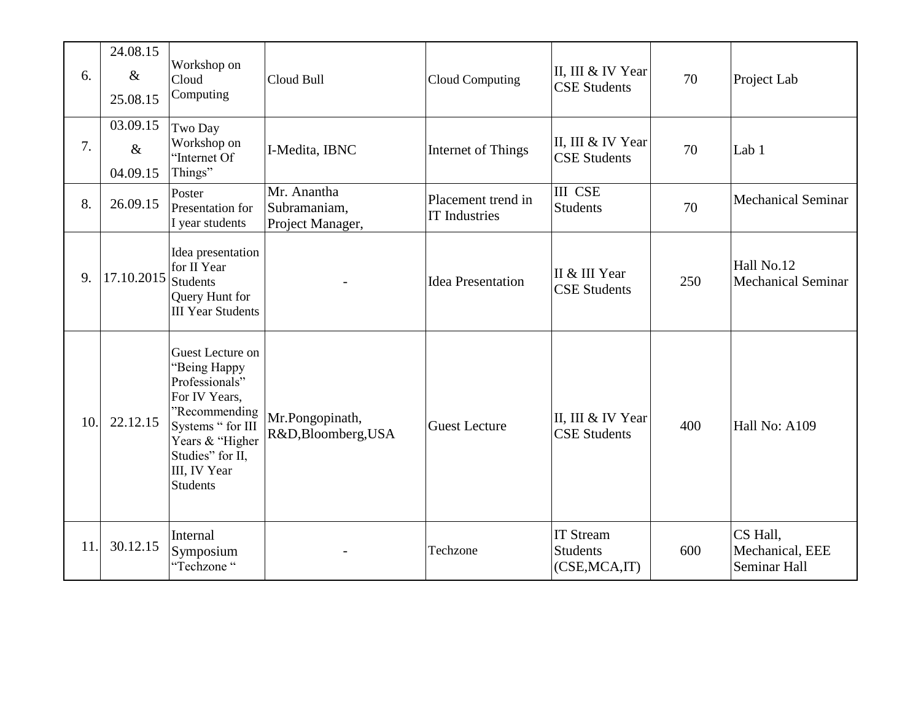| 6.  | 24.08.15<br>$\&$<br>25.08.15 | Workshop on<br>Cloud<br>Computing                                                                                                                                                   | Cloud Bull                                      | <b>Cloud Computing</b>                     | II, III & IV Year<br><b>CSE Students</b>              | 70  | Project Lab                                 |
|-----|------------------------------|-------------------------------------------------------------------------------------------------------------------------------------------------------------------------------------|-------------------------------------------------|--------------------------------------------|-------------------------------------------------------|-----|---------------------------------------------|
| 7.  | 03.09.15<br>$\&$<br>04.09.15 | Two Day<br>Workshop on<br>"Internet Of<br>Things"                                                                                                                                   | I-Medita, IBNC                                  | Internet of Things                         | II, III & IV Year<br><b>CSE Students</b>              | 70  | Lab 1                                       |
| 8.  | 26.09.15                     | Poster<br>Presentation for<br>I year students                                                                                                                                       | Mr. Anantha<br>Subramaniam,<br>Project Manager, | Placement trend in<br><b>IT Industries</b> | <b>III CSE</b><br><b>Students</b>                     | 70  | <b>Mechanical Seminar</b>                   |
| 9.  | 17.10.2015 Students          | Idea presentation<br>for II Year<br>Query Hunt for<br><b>III Year Students</b>                                                                                                      |                                                 | <b>Idea Presentation</b>                   | II & III Year<br><b>CSE Students</b>                  | 250 | Hall No.12<br><b>Mechanical Seminar</b>     |
| 10. | 22.12.15                     | Guest Lecture on<br>"Being Happy<br>Professionals"<br>For IV Years,<br>"Recommending<br>Systems " for III<br>Years & "Higher<br>Studies" for II,<br>III, IV Year<br><b>Students</b> | Mr.Pongopinath,<br>R&D,Bloomberg,USA            | <b>Guest Lecture</b>                       | II, III & IV Year<br><b>CSE Students</b>              | 400 | Hall No: A109                               |
| 11. | 30.12.15                     | Internal<br>Symposium<br>"Techzone"                                                                                                                                                 |                                                 | Techzone                                   | <b>IT Stream</b><br><b>Students</b><br>(CSE, MCA, IT) | 600 | CS Hall,<br>Mechanical, EEE<br>Seminar Hall |